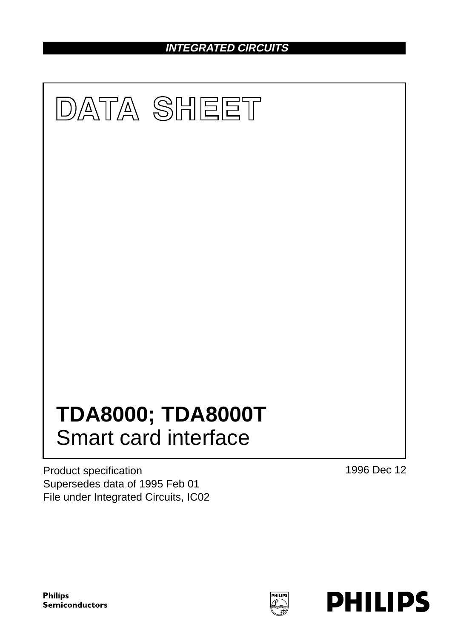**INTEGRATED CIRCUITS**



Product specification Supersedes data of 1995 Feb 01 File under Integrated Circuits, IC02 1996 Dec 12

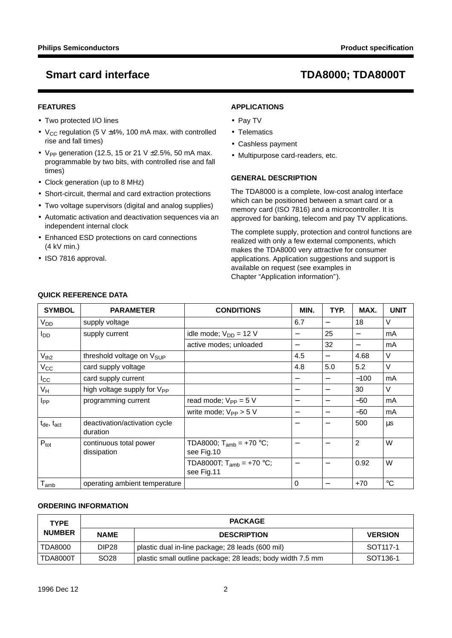## **FEATURES**

- Two protected I/O lines
- $V_{CC}$  regulation (5 V  $\pm$ 4%, 100 mA max. with controlled rise and fall times)
- V<sub>PP</sub> generation (12.5, 15 or 21 V  $\pm$ 2.5%, 50 mA max. programmable by two bits, with controlled rise and fall times)
- Clock generation (up to 8 MHz)
- Short-circuit, thermal and card extraction protections
- Two voltage supervisors (digital and analog supplies)
- Automatic activation and deactivation sequences via an independent internal clock
- Enhanced ESD protections on card connections (4 kV min.)
- ISO 7816 approval.

## **APPLICATIONS**

- Pay TV
- Telematics
- Cashless payment
- Multipurpose card-readers, etc.

## **GENERAL DESCRIPTION**

The TDA8000 is a complete, low-cost analog interface which can be positioned between a smart card or a memory card (ISO 7816) and a microcontroller. It is approved for banking, telecom and pay TV applications.

The complete supply, protection and control functions are realized with only a few external components, which makes the TDA8000 very attractive for consumer applications. Application suggestions and support is available on request (see examples in Chapter "Application information").

| <b>SYMBOL</b>        | <b>PARAMETER</b>                          | <b>CONDITIONS</b>                                 | MIN.                     | TYP.                     | MAX.                             | <b>UNIT</b> |
|----------------------|-------------------------------------------|---------------------------------------------------|--------------------------|--------------------------|----------------------------------|-------------|
| V <sub>DD</sub>      | supply voltage                            |                                                   | 6.7                      |                          | 18                               | $\vee$      |
| $I_{DD}$             | supply current                            | idle mode; $V_{DD} = 12 V$                        | $\overline{\phantom{0}}$ | 25                       | $\overbrace{\phantom{12322111}}$ | mA          |
|                      |                                           | active modes; unloaded                            | $\overline{\phantom{0}}$ | 32                       |                                  | mA          |
| $V_{th2}$            | threshold voltage on V <sub>SUP</sub>     |                                                   | 4.5                      | $\overline{\phantom{m}}$ | 4.68                             | V           |
| $V_{\rm CC}$         | card supply voltage                       |                                                   | 4.8                      | 5.0                      | 5.2                              | V           |
| $I_{\rm CC}$         | card supply current                       |                                                   | —                        | $\qquad \qquad$          | $-100$                           | mA          |
| $V_H$                | high voltage supply for V <sub>PP</sub>   |                                                   | —                        | $\overline{\phantom{m}}$ | 30                               | $\vee$      |
| $I_{PP}$             | programming current                       | read mode; $V_{PP} = 5 V$                         |                          | $\qquad \qquad$          | $-50$                            | mA          |
|                      |                                           | write mode; $V_{PP} > 5 V$                        | —                        |                          | $-50$                            | mA          |
| $t_{de}$ , $t_{act}$ | deactivation/activation cycle<br>duration |                                                   | $\qquad \qquad$          | $\overline{\phantom{m}}$ | 500                              | μs          |
| $P_{\text{tot}}$     | continuous total power<br>dissipation     | TDA8000; T <sub>amb</sub> = +70 °C;<br>see Fig.10 | $\overline{\phantom{0}}$ |                          | $\overline{2}$                   | W           |
|                      |                                           | TDA8000T; $T_{amb} = +70 °C$ ;<br>see Fig.11      | $\overline{\phantom{0}}$ | $\overline{\phantom{m}}$ | 0.92                             | W           |
| $T_{amb}$            | operating ambient temperature             |                                                   | 0                        | $\qquad \qquad$          | $+70$                            | $^{\circ}C$ |

## **QUICK REFERENCE DATA**

### **ORDERING INFORMATION**

| <b>TYPE</b>     | <b>PACKAGE</b>    |                                                            |                      |  |  |
|-----------------|-------------------|------------------------------------------------------------|----------------------|--|--|
| <b>NUMBER</b>   | <b>NAME</b>       | <b>DESCRIPTION</b>                                         | <b>VERSION</b>       |  |  |
| TDA8000         | DIP <sub>28</sub> | plastic dual in-line package; 28 leads (600 mil)           | SOT117-1             |  |  |
| <b>TDA8000T</b> | SO <sub>28</sub>  | plastic small outline package; 28 leads; body width 7.5 mm | SOT <sub>136-1</sub> |  |  |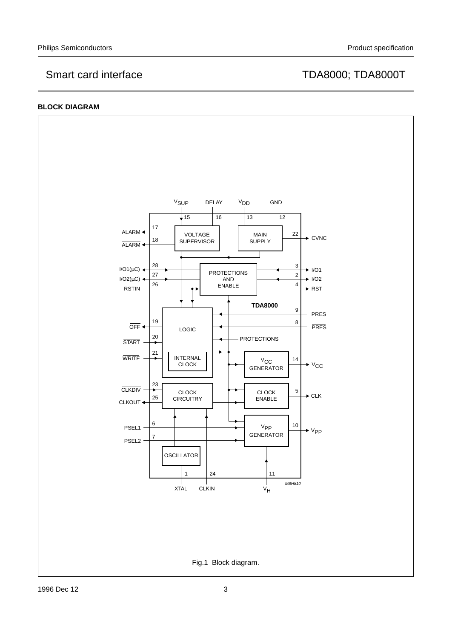## **BLOCK DIAGRAM**

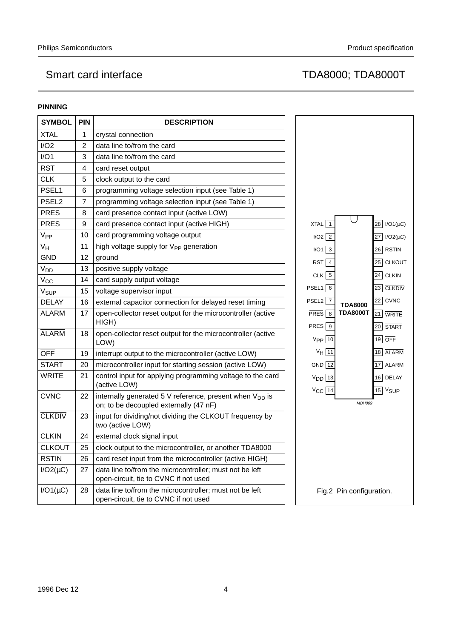## **PINNING**

| <b>SYMBOL</b>     | <b>PIN</b> | <b>DESCRIPTION</b>                                                                                            |
|-------------------|------------|---------------------------------------------------------------------------------------------------------------|
| <b>XTAL</b>       | 1          | crystal connection                                                                                            |
| I/O2              | 2          | data line to/from the card                                                                                    |
| I/O1              | 3          | data line to/from the card                                                                                    |
| <b>RST</b>        | 4          | card reset output                                                                                             |
| <b>CLK</b>        | 5          | clock output to the card                                                                                      |
| PSEL1             | 6          | programming voltage selection input (see Table 1)                                                             |
| PSEL <sub>2</sub> | 7          | programming voltage selection input (see Table 1)                                                             |
| <b>PRES</b>       | 8          | card presence contact input (active LOW)                                                                      |
| <b>PRES</b>       | 9          | card presence contact input (active HIGH)                                                                     |
| V <sub>PP</sub>   | 10         | card programming voltage output                                                                               |
| V <sub>H</sub>    | 11         | high voltage supply for V <sub>PP</sub> generation                                                            |
| <b>GND</b>        | 12         | ground                                                                                                        |
| V <sub>DD</sub>   | 13         | positive supply voltage                                                                                       |
| $V_{\rm CC}$      | 14         | card supply output voltage                                                                                    |
| V <sub>SUP</sub>  | 15         | voltage supervisor input                                                                                      |
| <b>DELAY</b>      | 16         | external capacitor connection for delayed reset timing                                                        |
| ALARM             | 17         | open-collector reset output for the microcontroller (active<br>HIGH)                                          |
| <b>ALARM</b>      | 18         | open-collector reset output for the microcontroller (active<br>LOW)                                           |
| <b>OFF</b>        | 19         | interrupt output to the microcontroller (active LOW)                                                          |
| <b>START</b>      | 20         | microcontroller input for starting session (active LOW)                                                       |
| <b>WRITE</b>      | 21         | control input for applying programming voltage to the card<br>(active LOW)                                    |
| <b>CVNC</b>       | 22         | internally generated 5 V reference, present when V <sub>DD</sub> is<br>on; to be decoupled externally (47 nF) |
| <b>CLKDIV</b>     | 23         | input for dividing/not dividing the CLKOUT frequency by<br>two (active LOW)                                   |
| <b>CLKIN</b>      | 24         | external clock signal input                                                                                   |
| <b>CLKOUT</b>     | 25         | clock output to the microcontroller, or another TDA8000                                                       |
| <b>RSTIN</b>      | 26         | card reset input from the microcontroller (active HIGH)                                                       |
| $I/O2(\mu C)$     | 27         | data line to/from the microcontroller; must not be left<br>open-circuit, tie to CVNC if not used              |
| $I/O1(\mu C)$     | 28         | data line to/from the microcontroller; must not be left<br>open-circuit, tie to CVNC if not used              |

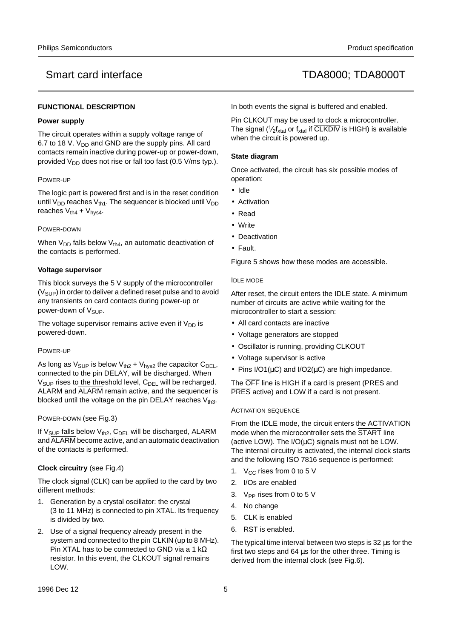### **FUNCTIONAL DESCRIPTION**

### **Power supply**

The circuit operates within a supply voltage range of 6.7 to 18 V. V<sub>DD</sub> and GND are the supply pins. All card contacts remain inactive during power-up or power-down, provided  $V_{DD}$  does not rise or fall too fast (0.5 V/ms typ.).

### POWER-UP

The logic part is powered first and is in the reset condition until  $V_{DD}$  reaches  $V_{th1}$ . The sequencer is blocked until  $V_{DD}$ reaches  $V_{th4} + V_{hys4}$ .

### POWER-DOWN

When  $V_{DD}$  falls below  $V_{th4}$ , an automatic deactivation of the contacts is performed.

### **Voltage supervisor**

This block surveys the 5 V supply of the microcontroller  $(V<sub>SUP</sub>)$  in order to deliver a defined reset pulse and to avoid any transients on card contacts during power-up or power-down of V<sub>SUP</sub>.

The voltage supervisor remains active even if  $V_{DD}$  is powered-down.

### POWER-UP

As long as  $V_{\text{SUP}}$  is below  $V_{\text{th2}} + V_{\text{hys2}}$  the capacitor  $C_{\text{DEL}}$ , connected to the pin DELAY, will be discharged. When  $V_{\text{SUP}}$  rises to the threshold level,  $C_{\text{DEL}}$  will be recharged. ALARM and ALARM remain active, and the sequencer is blocked until the voltage on the pin DELAY reaches  $V_{th3}$ .

### POWER-DOWN (see Fig.3)

If  $V_{SUP}$  falls below  $V_{th2}$ ,  $C_{DEL}$  will be discharged, ALARM and ALARM become active, and an automatic deactivation of the contacts is performed.

## **Clock circuitry** (see Fig.4)

The clock signal (CLK) can be applied to the card by two different methods:

- 1. Generation by a crystal oscillator: the crystal (3 to 11 MHz) is connected to pin XTAL. Its frequency is divided by two.
- 2. Use of a signal frequency already present in the system and connected to the pin CLKIN (up to 8 MHz). Pin XTAL has to be connected to GND via a 1 kΩ resistor. In this event, the CLKOUT signal remains LOW.

In both events the signal is buffered and enabled.

Pin CLKOUT may be used to clock a microcontroller. The signal ( $\frac{1}{2}f_{xtal}$  or  $f_{xtal}$  if  $\overline{\text{CLKDIV}}$  is HIGH) is available when the circuit is powered up.

### **State diagram**

Once activated, the circuit has six possible modes of operation:

- Idle
- Activation
- Read
- Write
- Deactivation
- Fault.

Figure 5 shows how these modes are accessible.

### IDLE MODE

After reset, the circuit enters the IDLE state. A minimum number of circuits are active while waiting for the microcontroller to start a session:

- All card contacts are inactive
- Voltage generators are stopped
- Oscillator is running, providing CLKOUT
- Voltage supervisor is active
- Pins  $I/O1(uC)$  and  $I/O2(uC)$  are high impedance.

The OFF line is HIGH if a card is present (PRES and PRES active) and LOW if a card is not present.

### ACTIVATION SEQUENCE

From the IDLE mode, the circuit enters the ACTIVATION mode when the microcontroller sets the START line (active LOW). The  $I/O(\mu C)$  signals must not be LOW. The internal circuitry is activated, the internal clock starts and the following ISO 7816 sequence is performed:

- 1.  $V_{CC}$  rises from 0 to 5 V
- 2. I/Os are enabled
- 3. V<sub>PP</sub> rises from 0 to 5 V
- 4. No change
- 5. CLK is enabled
- 6. RST is enabled.

The typical time interval between two steps is 32 µs for the first two steps and 64 µs for the other three. Timing is derived from the internal clock (see Fig.6).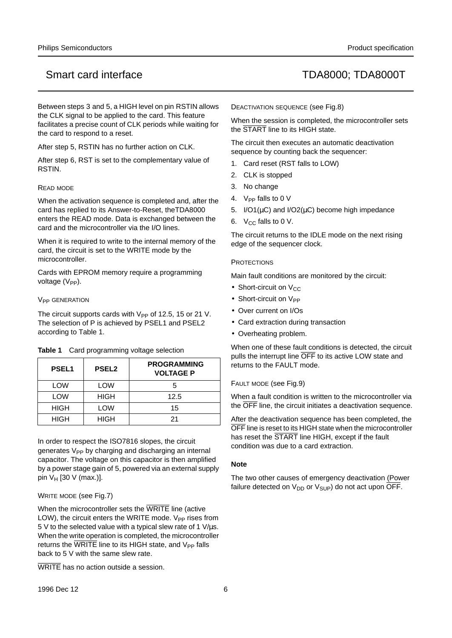Between steps 3 and 5, a HIGH level on pin RSTIN allows the CLK signal to be applied to the card. This feature facilitates a precise count of CLK periods while waiting for the card to respond to a reset.

After step 5, RSTIN has no further action on CLK.

After step 6, RST is set to the complementary value of RSTIN.

### READ MODE

When the activation sequence is completed and, after the card has replied to its Answer-to-Reset, theTDA8000 enters the READ mode. Data is exchanged between the card and the microcontroller via the I/O lines.

When it is required to write to the internal memory of the card, the circuit is set to the WRITE mode by the microcontroller.

Cards with EPROM memory require a programming voltage  $(V_{PP})$ .

### **V<sub>PP</sub>** GENERATION

The circuit supports cards with  $V_{PP}$  of 12.5, 15 or 21 V. The selection of P is achieved by PSEL1 and PSEL2 according to Table 1.

| Card programming voltage selection | Table 1 |  |  |  |  |
|------------------------------------|---------|--|--|--|--|
|------------------------------------|---------|--|--|--|--|

| <b>PSEL1</b> | <b>PSEL2</b> | <b>PROGRAMMING</b><br><b>VOLTAGE P</b> |
|--------------|--------------|----------------------------------------|
| LOW          | LOW          | 5                                      |
| <b>LOW</b>   | <b>HIGH</b>  | 12.5                                   |
| <b>HIGH</b>  | <b>LOW</b>   | 15                                     |
| <b>HIGH</b>  | <b>HIGH</b>  | 21                                     |

In order to respect the ISO7816 slopes, the circuit generates V<sub>PP</sub> by charging and discharging an internal capacitor. The voltage on this capacitor is then amplified by a power stage gain of 5, powered via an external supply pin  $V_H$  [30 V (max.)].

## WRITE MODE (see Fig.7)

When the microcontroller sets the WRITE line (active LOW), the circuit enters the WRITE mode.  $V_{PP}$  rises from 5 V to the selected value with a typical slew rate of 1 V/µs. When the write operation is completed, the microcontroller returns the  $\overline{\text{WRITE}}$  line to its HIGH state, and  $V_{PP}$  falls back to 5 V with the same slew rate.

WRITE has no action outside a session.

DEACTIVATION SEQUENCE (see Fig.8)

When the session is completed, the microcontroller sets the START line to its HIGH state.

The circuit then executes an automatic deactivation sequence by counting back the sequencer:

- 1. Card reset (RST falls to LOW)
- 2. CLK is stopped
- 3. No change
- 4.  $V_{PP}$  falls to 0 V
- 5.  $I/O1(\mu C)$  and  $I/O2(\mu C)$  become high impedance
- 6.  $V_{CC}$  falls to 0 V.

The circuit returns to the IDLE mode on the next rising edge of the sequencer clock.

### **PROTECTIONS**

Main fault conditions are monitored by the circuit:

- Short-circuit on  $V_{CC}$
- Short-circuit on  $V_{PP}$
- Over current on I/Os
- Card extraction during transaction
- Overheating problem.

When one of these fault conditions is detected, the circuit pulls the interrupt line OFF to its active LOW state and returns to the FAULT mode.

FAULT MODE (see Fig.9)

When a fault condition is written to the microcontroller via the OFF line, the circuit initiates a deactivation sequence.

After the deactivation sequence has been completed, the OFF line is reset to its HIGH state when the microcontroller has reset the **START** line HIGH, except if the fault condition was due to a card extraction.

### **Note**

The two other causes of emergency deactivation (Power failure detected on  $V_{DD}$  or  $V_{SUP}$ ) do not act upon  $\overline{OFF}$ .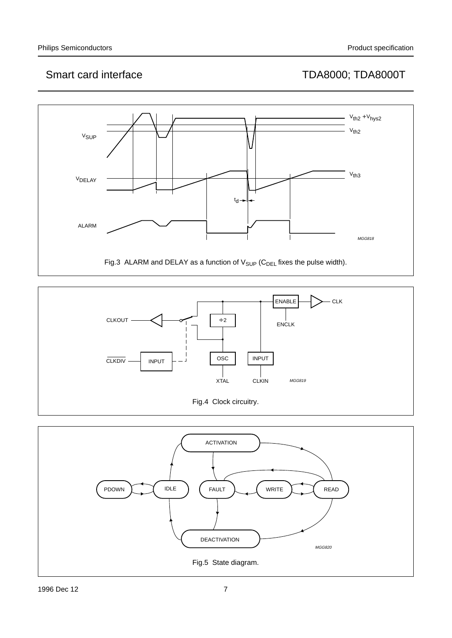



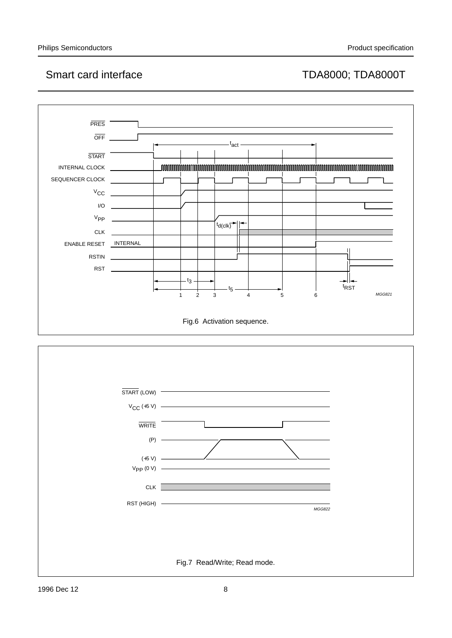

Fig.7 Read/Write; Read mode.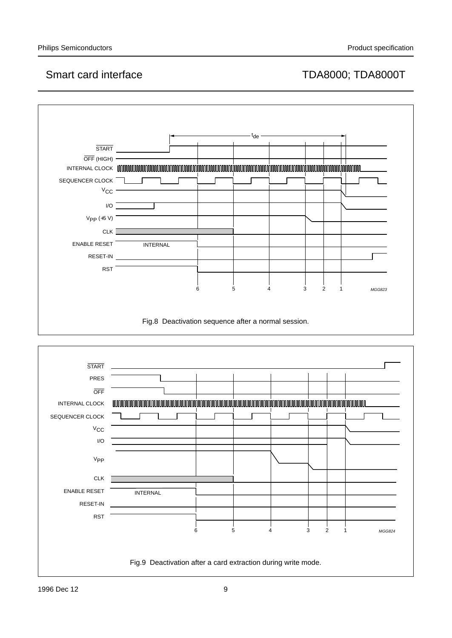

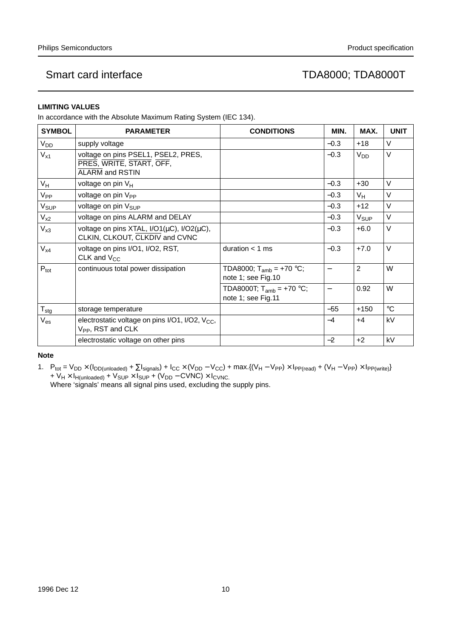## **LIMITING VALUES**

In accordance with the Absolute Maximum Rating System (IEC 134).

| <b>SYMBOL</b>    | <b>PARAMETER</b>                                                                             | <b>CONDITIONS</b>                                    | MIN.   | MAX.             | <b>UNIT</b> |
|------------------|----------------------------------------------------------------------------------------------|------------------------------------------------------|--------|------------------|-------------|
| V <sub>DD</sub>  | supply voltage                                                                               |                                                      | $-0.3$ | $+18$            | $\vee$      |
| $V_{x1}$         | voltage on pins PSEL1, PSEL2, PRES,<br>PRES, WRITE, START, OFF,<br><b>ALARM and RSTIN</b>    |                                                      | $-0.3$ | V <sub>DD</sub>  | $\vee$      |
| $V_H$            | voltage on pin V <sub>H</sub>                                                                |                                                      | $-0.3$ | $+30$            | $\vee$      |
| $V_{PP}$         | voltage on pin V <sub>PP</sub>                                                               |                                                      | $-0.3$ | V <sub>H</sub>   | $\vee$      |
| V <sub>SUP</sub> | voltage on pin V <sub>SUP</sub>                                                              |                                                      | $-0.3$ | $+12$            | V           |
| $V_{x2}$         | voltage on pins ALARM and DELAY                                                              |                                                      | $-0.3$ | V <sub>SUP</sub> | V           |
| $V_{x3}$         | voltage on pins XTAL, $I/O1(\mu C)$ , $I/O2(\mu C)$ ,<br>CLKIN, CLKOUT, CLKDIV and CVNC      |                                                      | $-0.3$ | $+6.0$           | V           |
| $V_{x4}$         | voltage on pins I/O1, I/O2, RST,<br>CLK and $V_{CC}$                                         | duration $<$ 1 ms                                    | $-0.3$ | $+7.0$           | $\vee$      |
| $P_{\text{tot}}$ | continuous total power dissipation                                                           | TDA8000; $T_{amb} = +70 °C$ ;<br>note 1; see Fig.10  |        | $\overline{2}$   | W           |
|                  |                                                                                              | TDA8000T; $T_{amb} = +70 °C$ ;<br>note 1; see Fig.11 |        | 0.92             | W           |
| $T_{\text{stg}}$ | storage temperature                                                                          |                                                      | $-55$  | $+150$           | $^{\circ}C$ |
| $V_{es}$         | electrostatic voltage on pins I/O1, I/O2, V <sub>CC</sub> ,<br>V <sub>PP</sub> , RST and CLK |                                                      | $-4$   | $+4$             | kV          |
|                  | electrostatic voltage on other pins                                                          |                                                      | $-2$   | $+2$             | kV          |

### **Note**

1.  $P_{tot} = V_{DD} \times (I_{DD(unloaded)} + \Sigma I_{signals}) + I_{CC} \times (V_{DD} - V_{CC}) + \max.(V_H - V_{PP}) \times I_{PP(read)} + (V_H - V_{PP}) \times I_{PP(write)}$ + V<sub>H</sub> × I<sub>H(unloaded)</sub> + V<sub>SUP</sub> × I<sub>SUP</sub> + (V<sub>DD</sub> – CVNC) × I<sub>CVNC.</sub>

Where 'signals' means all signal pins used, excluding the supply pins.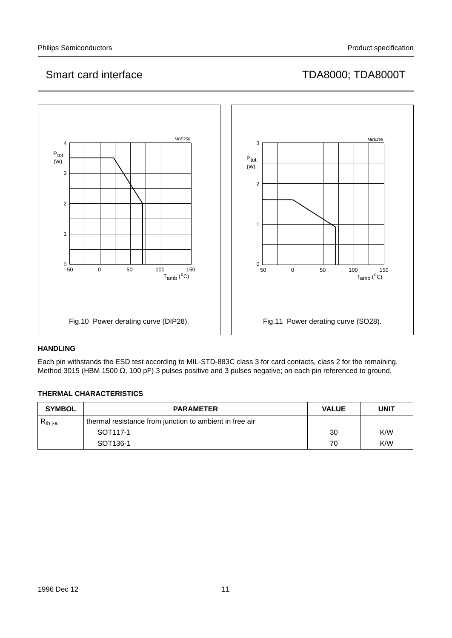

## **HANDLING**

Each pin withstands the ESD test according to MIL-STD-883C class 3 for card contacts, class 2 for the remaining. Method 3015 (HBM 1500 Ω, 100 pF) 3 pulses positive and 3 pulses negative; on each pin referenced to ground.

## **THERMAL CHARACTERISTICS**

| <b>SYMBOL</b> | <b>PARAMETER</b>                                        | <b>VALUE</b> | <b>UNIT</b> |
|---------------|---------------------------------------------------------|--------------|-------------|
| $R_{th\,j-a}$ | thermal resistance from junction to ambient in free air |              |             |
|               | SOT <sub>117-1</sub>                                    | 30           | K/W         |
|               | SOT <sub>136-1</sub>                                    | 70           | K/W         |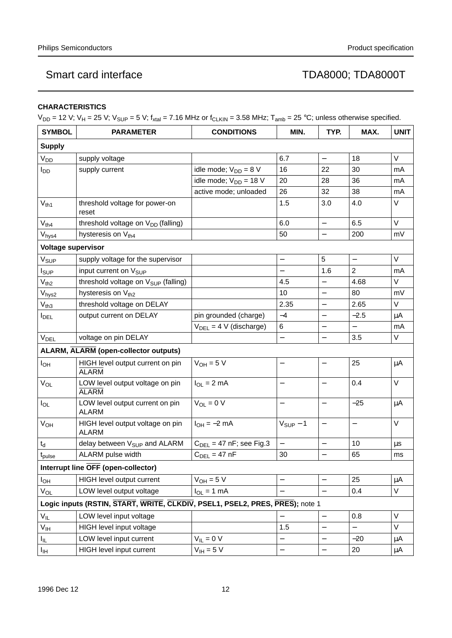## **CHARACTERISTICS**

 $V_{DD}$  = 12 V;  $V_H$  = 25 V;  $V_{SUP}$  = 5 V;  $f_{xtal}$  = 7.16 MHz or  $f_{CLKIN}$  = 3.58 MHz;  $T_{amb}$  = 25 °C; unless otherwise specified.

| <b>SYMBOL</b>             | <b>PARAMETER</b>                                                             | <b>CONDITIONS</b>           | MIN.                     | TYP.                     | MAX.                     | <b>UNIT</b> |
|---------------------------|------------------------------------------------------------------------------|-----------------------------|--------------------------|--------------------------|--------------------------|-------------|
| <b>Supply</b>             |                                                                              |                             |                          |                          |                          |             |
| V <sub>DD</sub>           | supply voltage                                                               |                             | 6.7                      | $\overline{\phantom{0}}$ | 18                       | V           |
| $I_{DD}$                  | supply current                                                               | idle mode; $V_{DD} = 8 V$   | 16                       | 22                       | 30                       | mA          |
|                           |                                                                              | idle mode; $V_{DD} = 18 V$  | 20                       | 28                       | 36                       | mA          |
|                           |                                                                              | active mode; unloaded       | 26                       | 32                       | 38                       | mA          |
| $V_{th1}$                 | threshold voltage for power-on<br>reset                                      |                             | 1.5                      | 3.0                      | 4.0                      | V           |
| $V_{th4}$                 | threshold voltage on V <sub>DD</sub> (falling)                               |                             | 6.0                      | $\qquad \qquad -$        | 6.5                      | $\vee$      |
| V <sub>hys4</sub>         | hysteresis on Vth4                                                           |                             | 50                       | $\qquad \qquad -$        | 200                      | mV          |
| <b>Voltage supervisor</b> |                                                                              |                             |                          |                          |                          |             |
| $V_{\text{SUP}}$          | supply voltage for the supervisor                                            |                             | $\overline{\phantom{0}}$ | 5                        | $\overline{\phantom{0}}$ | $\vee$      |
| $I_{SUP}$                 | input current on V <sub>SUP</sub>                                            |                             | $\overline{\phantom{0}}$ | 1.6                      | $\overline{2}$           | mA          |
| $V_{th2}$                 | threshold voltage on V <sub>SUP</sub> (falling)                              |                             | 4.5                      |                          | 4.68                     | $\vee$      |
| $V_{\mathsf{hys2}}$       | hysteresis on V <sub>th2</sub>                                               |                             | 10                       | $\overline{\phantom{0}}$ | 80                       | mV          |
| $V_{th3}$                 | threshold voltage on DELAY                                                   |                             | 2.35                     | $\overline{\phantom{0}}$ | 2.65                     | V           |
| $I_{DEL}$                 | output current on DELAY                                                      | pin grounded (charge)       | $-4$                     | $\overline{\phantom{0}}$ | $-2.5$                   | μA          |
|                           |                                                                              | $V_{DEL} = 4 V (discharge)$ | 6                        | $\overline{\phantom{0}}$ | $\overline{\phantom{0}}$ | mA          |
| V <sub>DEL</sub>          | voltage on pin DELAY                                                         |                             | $\overline{\phantom{0}}$ |                          | 3.5                      | $\vee$      |
|                           | <b>ALARM, ALARM (open-collector outputs)</b>                                 |                             |                          |                          |                          |             |
| $I_{OH}$                  | HIGH level output current on pin<br><b>ALARM</b>                             | $V_{OH} = 5 V$              | -                        |                          | 25                       | $\mu$ A     |
| $V_{OL}$                  | LOW level output voltage on pin<br><b>ALARM</b>                              | $I_{OL} = 2 mA$             |                          |                          | 0.4                      | $\vee$      |
| $I_{OL}$                  | LOW level output current on pin<br><b>ALARM</b>                              | $V_{OL} = 0 V$              |                          | $\qquad \qquad -$        | $-25$                    | μA          |
| $V_{OH}$                  | HIGH level output voltage on pin<br><b>ALARM</b>                             | $I_{OH} = -2$ mA            | $V_{SUP}$ - 1            |                          |                          | $\vee$      |
| $t_d$                     | delay between V <sub>SUP</sub> and ALARM                                     | $CDEL = 47 nF$ ; see Fig.3  | $\qquad \qquad -$        | $\overline{\phantom{0}}$ | 10                       | $\mu s$     |
| $t_{\text{pulse}}$        | ALARM pulse width                                                            | $C_{DEL} = 47$ nF           | 30                       |                          | 65                       | ms          |
|                           | Interrupt line OFF (open-collector)                                          |                             |                          |                          |                          |             |
| <b>I</b> OH               | HIGH level output current                                                    | $V_{OH} = 5 V$              | $\overline{\phantom{0}}$ |                          | 25                       | μA          |
| $V_{OL}$                  | LOW level output voltage                                                     | $I_{OL} = 1$ mA             |                          |                          | 0.4                      | $\vee$      |
|                           | Logic inputs (RSTIN, START, WRITE, CLKDIV, PSEL1, PSEL2, PRES, PRES); note 1 |                             |                          |                          |                          |             |
| $V_{IL}$                  | LOW level input voltage                                                      |                             |                          |                          | 0.8                      | V           |
| $V_{\text{IH}}$           | HIGH level input voltage                                                     |                             | 1.5                      |                          |                          | V           |
| $I_{IL}$                  | LOW level input current                                                      | $V_{IL} = 0 V$              | —                        |                          | $-20$                    | μA          |
| $I_{\text{IH}}$           | HIGH level input current                                                     | $V_{\text{IH}} = 5 V$       | $\overline{\phantom{0}}$ |                          | 20                       | $\mu$ A     |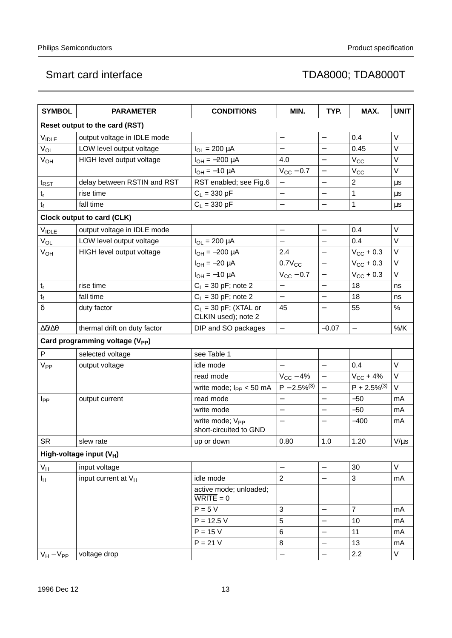| <b>SYMBOL</b>                 | <b>PARAMETER</b>                            | <b>CONDITIONS</b>                                       | MIN.                     | TYP.                     | MAX.                     | <b>UNIT</b> |
|-------------------------------|---------------------------------------------|---------------------------------------------------------|--------------------------|--------------------------|--------------------------|-------------|
|                               | Reset output to the card (RST)              |                                                         |                          |                          |                          |             |
| <b>VIDLE</b>                  | output voltage in IDLE mode                 |                                                         | $\overline{\phantom{0}}$ | $\overline{\phantom{0}}$ | 0.4                      | V           |
| V <sub>OL</sub>               | LOW level output voltage                    | $I_{OL} = 200 \mu A$                                    | $\overline{\phantom{0}}$ |                          | 0.45                     | V           |
| V <sub>OH</sub>               | HIGH level output voltage                   | $I_{OH} = -200 \mu A$                                   | 4.0                      |                          | $V_{CC}$                 | V           |
|                               |                                             | $I_{OH} = -10 \mu A$                                    | $V_{CC}$ – 0.7           | $\qquad \qquad -$        | $V_{CC}$                 | V           |
| $t_{\text{RST}}$              | delay between RSTIN and RST                 | RST enabled; see Fig.6                                  | $\overline{\phantom{0}}$ |                          | $\overline{c}$           | μs          |
| t <sub>r</sub>                | rise time                                   | $C_L = 330 pF$                                          | —                        | $\qquad \qquad -$        | 1                        | μs          |
| $t_f$                         | fall time                                   | $C_L = 330 pF$                                          |                          |                          | 1                        | $\mu s$     |
|                               | Clock output to card (CLK)                  |                                                         |                          |                          |                          |             |
| VIDLE                         | output voltage in IDLE mode                 |                                                         | —                        | $\qquad \qquad -$        | 0.4                      | V           |
| V <sub>OL</sub>               | LOW level output voltage                    | $I_{OL} = 200 \mu A$                                    |                          |                          | 0.4                      | V           |
| $V_{OH}$                      | HIGH level output voltage                   | $I_{OH} = -200 \mu A$                                   | 2.4                      | $\qquad \qquad -$        | $V_{CC}$ + 0.3           | V           |
|                               |                                             | $I_{OH} = -20 \mu A$                                    | $0.7V_{CC}$              | $\equiv$                 | $V_{CC}$ + 0.3           | V           |
|                               |                                             | $I_{OH} = -10 \mu A$                                    | $V_{CC}$ - 0.7           |                          | $V_{\text{CC}} + 0.3$    | V           |
| $t_r$                         | rise time                                   | $C_L$ = 30 pF; note 2                                   | $\overline{\phantom{0}}$ |                          | 18                       | ns          |
| $\mathfrak{t}_{\mathfrak{f}}$ | fall time                                   | $C_L$ = 30 pF; note 2                                   |                          |                          | 18                       | ns          |
| $\delta$                      | duty factor                                 | $C_L$ = 30 pF; (XTAL or<br>CLKIN used); note 2          | 45                       | $\overline{\phantom{0}}$ | 55                       | %           |
| $\Delta\delta/\Delta\theta$   | thermal drift on duty factor                | DIP and SO packages                                     | $\overline{\phantom{0}}$ | $-0.07$                  | $\overline{\phantom{0}}$ | $%$ /K      |
|                               | Card programming voltage (V <sub>PP</sub> ) |                                                         |                          |                          |                          |             |
| P                             | selected voltage                            | see Table 1                                             |                          |                          |                          |             |
| V <sub>PP</sub>               | output voltage                              | idle mode                                               |                          | $\overline{\phantom{0}}$ | 0.4                      | $\vee$      |
|                               |                                             | read mode                                               | $V_{CC}$ – 4%            | $\overline{\phantom{0}}$ | $V_{CC}$ + 4%            | V           |
|                               |                                             | write mode; $I_{PP}$ < 50 mA                            | $P - 2.5\%^{(3)}$        |                          | $P + 2.5\%^{(3)}$        | $\vee$      |
| I <sub>PP</sub>               | output current                              | read mode                                               | —                        | $\overline{\phantom{0}}$ | $-50$                    | mA          |
|                               |                                             | write mode                                              | $\overline{\phantom{0}}$ | $\equiv$                 | $-50$                    | mA          |
|                               |                                             | write mode; V <sub>PP</sub><br>short-circuited to GND   | $\overline{\phantom{0}}$ | $\overline{\phantom{0}}$ | $-400$                   | mA          |
| <b>SR</b>                     | slew rate                                   | up or down                                              | 0.80                     | $1.0$                    | 1.20                     | $V/\mu s$   |
|                               | High-voltage input $(V_H)$                  |                                                         |                          |                          |                          |             |
| $V_H$                         | input voltage                               |                                                         | $\qquad \qquad -$        | $\overline{\phantom{0}}$ | 30                       | V           |
| Iн                            | input current at V <sub>H</sub>             | idle mode                                               | $\overline{2}$           |                          | 3                        | mA          |
|                               |                                             | active mode; unloaded;<br>$\overline{\text{WRITE}} = 0$ |                          |                          |                          |             |
|                               |                                             | $P = 5 V$                                               | 3                        |                          | $\overline{7}$           | mA          |
|                               |                                             | $P = 12.5 V$                                            | 5                        | $\overline{\phantom{0}}$ | 10                       | mA          |
|                               |                                             | $P = 15 V$                                              | 6                        |                          | 11                       | mA          |
|                               |                                             | $P = 21 V$                                              | 8                        |                          | 13                       | mA          |
| $V_H - V_{PP}$                | voltage drop                                |                                                         | $\overline{\phantom{0}}$ | $\equiv$                 | 2.2                      | V           |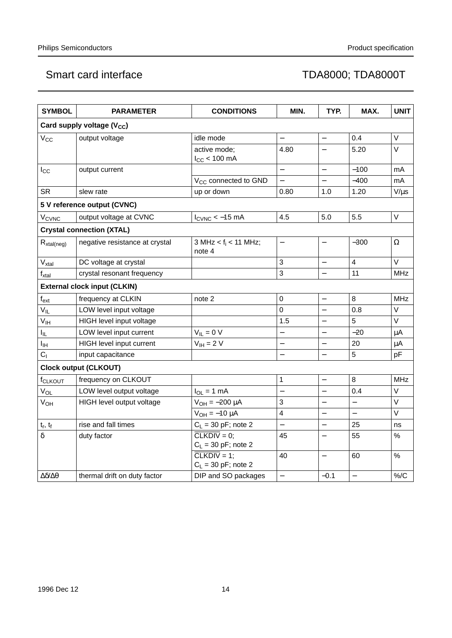| <b>SYMBOL</b>               | <b>PARAMETER</b>                       | <b>CONDITIONS</b>                                         | MIN.                     | TYP.                     | MAX.                     | <b>UNIT</b> |
|-----------------------------|----------------------------------------|-----------------------------------------------------------|--------------------------|--------------------------|--------------------------|-------------|
|                             | Card supply voltage (V <sub>CC</sub> ) |                                                           |                          |                          |                          |             |
| $\rm V_{CC}$                | output voltage                         | idle mode                                                 |                          | $\overline{\phantom{0}}$ | 0.4                      | V           |
|                             |                                        | active mode;<br>$I_{CC}$ < 100 mA                         | 4.80                     | $\overline{\phantom{0}}$ | 5.20                     | V           |
| $I_{\rm CC}$                | output current                         |                                                           | $\overline{\phantom{0}}$ | $\overline{a}$           | $-100$                   | mA          |
|                             |                                        | V <sub>CC</sub> connected to GND                          | $\overline{a}$           | $\equiv$                 | $-400$                   | mA          |
| <b>SR</b>                   | slew rate                              | up or down                                                | 0.80                     | 1.0                      | 1.20                     | $V/\mu s$   |
|                             | 5 V reference output (CVNC)            |                                                           |                          |                          |                          |             |
| <b>V<sub>CVNC</sub></b>     | output voltage at CVNC                 | $I_{C VNC}$ < -15 mA                                      | 4.5                      | 5.0                      | 5.5                      | $\vee$      |
|                             | <b>Crystal connection (XTAL)</b>       |                                                           |                          |                          |                          |             |
| $R_{xtal(neg)}$             | negative resistance at crystal         | 3 MHz < $f_i$ < 11 MHz;<br>note 4                         | $\overline{a}$           |                          | $-300$                   | $\Omega$    |
| $\rm V_{xtal}$              | DC voltage at crystal                  |                                                           | 3                        | $\overline{\phantom{0}}$ | $\overline{\mathbf{4}}$  | $\vee$      |
| $f_{xtal}$                  | crystal resonant frequency             |                                                           | 3                        |                          | 11                       | <b>MHz</b>  |
|                             | <b>External clock input (CLKIN)</b>    |                                                           |                          |                          |                          |             |
| $f_{ext}$                   | frequency at CLKIN                     | note 2                                                    | $\mathbf 0$              |                          | 8                        | <b>MHz</b>  |
| $V_{IL}$                    | LOW level input voltage                |                                                           | $\Omega$                 |                          | 0.8                      | $\vee$      |
| $V_{\text{IH}}$             | HIGH level input voltage               |                                                           | 1.5                      |                          | 5                        | V           |
| $I_{\rm IL}$                | LOW level input current                | $V_{IL} = 0 V$                                            |                          |                          | $-20$                    | $\mu$ A     |
| Iін                         | HIGH level input current               | $V_{IH} = 2 V$                                            | $\overline{\phantom{0}}$ |                          | 20                       | $\mu$ A     |
| C <sub>1</sub>              | input capacitance                      |                                                           |                          |                          | 5                        | pF          |
|                             | <b>Clock output (CLKOUT)</b>           |                                                           |                          |                          |                          |             |
| f <sub>CLKOUT</sub>         | frequency on CLKOUT                    |                                                           | $\mathbf{1}$             |                          | 8                        | <b>MHz</b>  |
| $V_{OL}$                    | LOW level output voltage               | $I_{OL} = 1$ mA                                           | $\overline{a}$           | $\equiv$                 | 0.4                      | $\vee$      |
| $V_{OH}$                    | HIGH level output voltage              | $V_{OH} = -200 \mu A$                                     | 3                        | $\qquad \qquad -$        | $\qquad \qquad -$        | $\vee$      |
|                             |                                        | $V_{OH} = -10 \mu A$                                      | 4                        | $\equiv$                 | $\equiv$                 | $\vee$      |
| $t_r$ , $t_f$               | rise and fall times                    | $C_L$ = 30 pF; note 2                                     | $\overline{a}$           | $\overline{\phantom{0}}$ | 25                       | ns          |
| $\delta$                    | duty factor                            | $\overline{\text{CLKDIV}} = 0$ ;<br>$C_L$ = 30 pF; note 2 | 45                       |                          | 55                       | $\%$        |
|                             |                                        | $CLKDIV = 1$<br>$C_L$ = 30 pF; note 2                     | 40                       |                          | 60                       | %           |
| $\Delta\delta/\Delta\theta$ | thermal drift on duty factor           | DIP and SO packages                                       | $\overline{\phantom{0}}$ | $-0.1$                   | $\overline{\phantom{0}}$ | $\%$ /C     |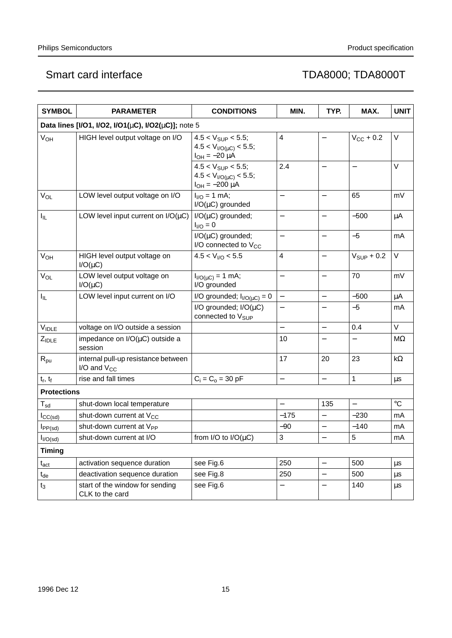| <b>SYMBOL</b>              | <b>PARAMETER</b>                                                | <b>CONDITIONS</b>                                                                  | MIN.                     | TYP.                     | MAX.                     | <b>UNIT</b> |
|----------------------------|-----------------------------------------------------------------|------------------------------------------------------------------------------------|--------------------------|--------------------------|--------------------------|-------------|
|                            | Data lines [I/O1, I/O2, I/O1( $\mu$ C), I/O2( $\mu$ C)]; note 5 |                                                                                    |                          |                          |                          |             |
| V <sub>OH</sub>            | HIGH level output voltage on I/O                                | $4.5 < V_{\text{SUP}} < 5.5$ ;<br>$4.5 < VI/O(µC) < 5.5;$<br>$I_{OH} = -20 \mu A$  | 4                        |                          | $V_{\text{CC}} + 0.2$    | V           |
|                            |                                                                 | $4.5 < V_{\text{SUP}} < 5.5$ ;<br>$4.5 < VI/O(µC) < 5.5;$<br>$I_{OH} = -200 \mu A$ | 2.4                      | $\overline{\phantom{0}}$ |                          | V           |
| $V_{OL}$                   | LOW level output voltage on I/O                                 | $I_{1/O} = 1$ mA;<br>$I/O(\mu C)$ grounded                                         |                          | $\overline{\phantom{0}}$ | 65                       | mV          |
| $I_{\rm IL}$               | LOW level input current on $I/O(\mu C)$                         | $I/O(\mu C)$ grounded;<br>$I_{I/O} = 0$                                            | $\overline{\phantom{0}}$ | $\overline{\phantom{m}}$ | $-500$                   | μA          |
|                            |                                                                 | $I/O(\mu C)$ grounded;<br>I/O connected to V <sub>CC</sub>                         |                          | $\overline{\phantom{0}}$ | $-5$                     | mA          |
| V <sub>OH</sub>            | HIGH level output voltage on<br>$I/O(\mu C)$                    | 4.5 < V <sub>I/O</sub> < 5.5                                                       | 4                        |                          | $V_{SUP}$ + 0.2          | V           |
| V <sub>OL</sub>            | LOW level output voltage on<br>$I/O(\mu C)$                     | $I_{I/O(UC)} = 1$ mA;<br>I/O grounded                                              | $\overline{\phantom{0}}$ | $\overline{\phantom{0}}$ | 70                       | mV          |
| I <sub>IL</sub>            | LOW level input current on I/O                                  | I/O grounded; $I_{I/O(UC)} = 0$                                                    | $\qquad \qquad -$        | $\overline{\phantom{0}}$ | $-500$                   | μA          |
|                            |                                                                 | I/O grounded; $I/O(\mu C)$<br>connected to V <sub>SUP</sub>                        | $\overline{\phantom{0}}$ | $\overline{\phantom{0}}$ | $-5$                     | mA          |
| $V_{IDLE}$                 | voltage on I/O outside a session                                |                                                                                    |                          | $\equiv$                 | 0.4                      | V           |
| $Z_{\text{IDLE}}$          | impedance on $I/O(\mu C)$ outside a<br>session                  |                                                                                    | 10                       |                          |                          | $M\Omega$   |
| $R_{pu}$                   | internal pull-up resistance between<br>$I/O$ and $V_{CC}$       |                                                                                    | 17                       | 20                       | 23                       | $k\Omega$   |
| $t_r$ , $t_f$              | rise and fall times                                             | $C_i = C_o = 30$ pF                                                                | $\overline{\phantom{0}}$ | $\overline{\phantom{0}}$ | 1                        | μs          |
| <b>Protections</b>         |                                                                 |                                                                                    |                          |                          |                          |             |
| $\mathsf{T}_{\mathsf{sd}}$ | shut-down local temperature                                     |                                                                                    |                          | 135                      | $\overline{\phantom{0}}$ | $\circ$ C   |
| $I_{CC(sd)}$               | shut-down current at V <sub>CC</sub>                            |                                                                                    | $-175$                   |                          | $-230$                   | mA          |
| $I_{PP(sd)}$               | shut-down current at V <sub>PP</sub>                            |                                                                                    | $-90$                    | $\qquad \qquad -$        | $-140$                   | mA          |
| $I_{I/O(sd)}$              | shut-down current at I/O                                        | from I/O to $I/O(\mu C)$                                                           | 3                        |                          | 5                        | mA          |
| <b>Timing</b>              |                                                                 |                                                                                    |                          |                          |                          |             |
| $\mathfrak{t}_{\rm act}$   | activation sequence duration                                    | see Fig.6                                                                          | 250                      | $\qquad \qquad -$        | 500                      | μs          |
| $t_{\sf de}$               | deactivation sequence duration                                  | see Fig.8                                                                          | 250                      |                          | 500                      | μs          |
| t3                         | start of the window for sending<br>CLK to the card              | see Fig.6                                                                          |                          |                          | 140                      | μs          |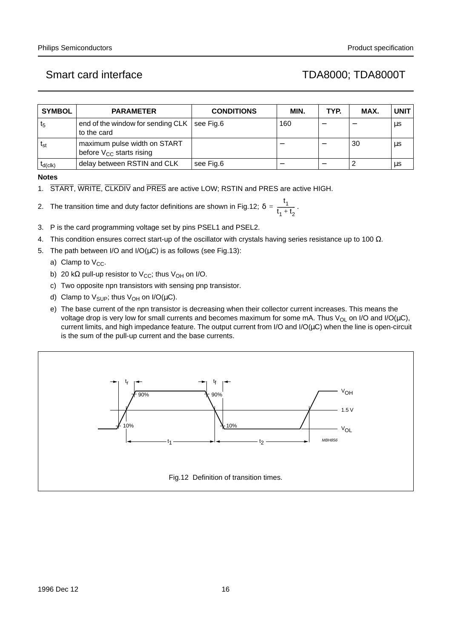| <b>SYMBOL</b> | <b>PARAMETER</b>                                              | <b>CONDITIONS</b> | MIN. | TYP. | MAX. | <b>UNIT</b> |
|---------------|---------------------------------------------------------------|-------------------|------|------|------|-------------|
| $t_{5}$       | end of the window for sending CLK<br>to the card              | see Fig.6         | 160  |      |      | μs          |
| $t_{st}$      | maximum pulse width on START<br>before $V_{CC}$ starts rising |                   |      |      | 30   | μs          |
| $I_{d(c k)}$  | delay between RSTIN and CLK                                   | see Fig.6         |      |      |      | μs          |

**Notes**

1. START, WRITE, CLKDIV and PRES are active LOW; RSTIN and PRES are active HIGH.

2. The transition time and duty factor definitions are shown in Fig.12;  $\delta = \frac{1}{\epsilon_0}$ . t 1  $= \frac{1}{t_1 + t_2}$ 

- 3. P is the card programming voltage set by pins PSEL1 and PSEL2.
- 4. This condition ensures correct start-up of the oscillator with crystals having series resistance up to 100  $Ω$ .
- 5. The path between I/O and I/O( $\mu$ C) is as follows (see Fig.13):
	- a) Clamp to  $V_{CC}$ .
	- b) 20 kΩ pull-up resistor to  $V_{\text{CC}}$ ; thus  $V_{\text{OH}}$  on I/O.
	- c) Two opposite npn transistors with sensing pnp transistor.
	- d) Clamp to  $V_{\text{SUP}}$ ; thus  $V_{\text{OH}}$  on  $I/O(\mu C)$ .
	- e) The base current of the npn transistor is decreasing when their collector current increases. This means the voltage drop is very low for small currents and becomes maximum for some mA. Thus V<sub>OL</sub> on I/O and I/O( $\mu$ C), current limits, and high impedance feature. The output current from I/O and I/O( $\mu$ C) when the line is open-circuit is the sum of the pull-up current and the base currents.

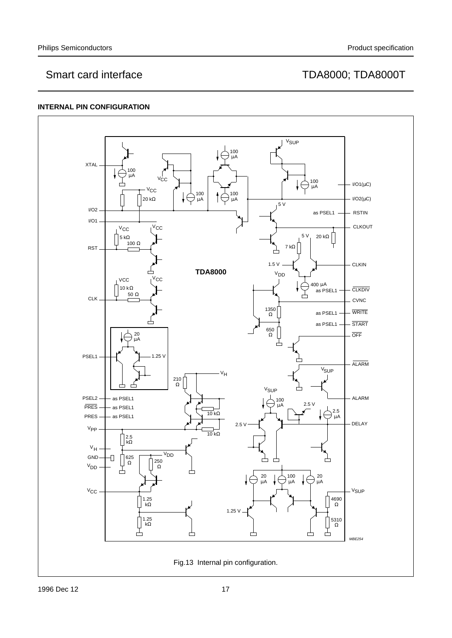## **INTERNAL PIN CONFIGURATION**

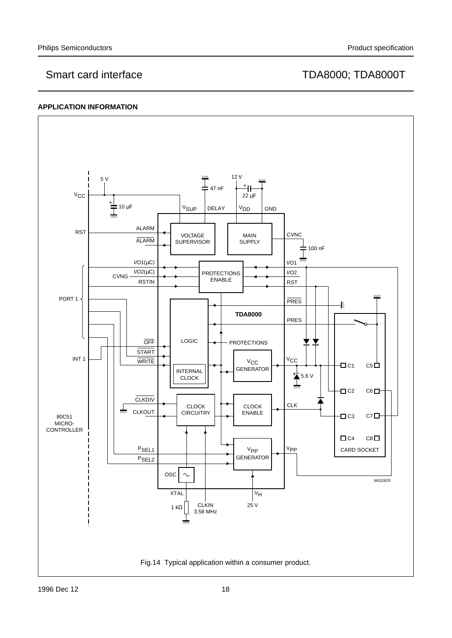## **APPLICATION INFORMATION**

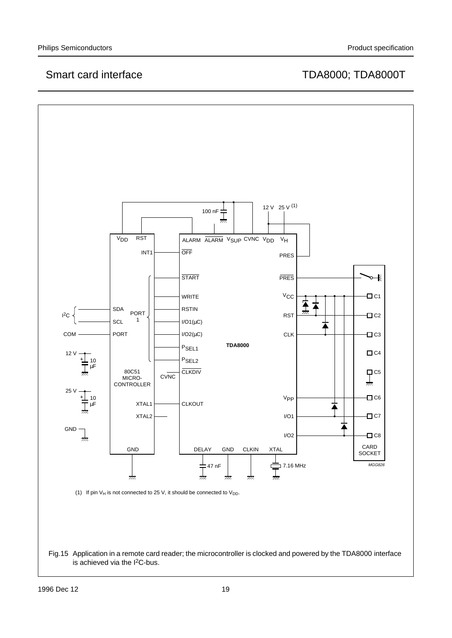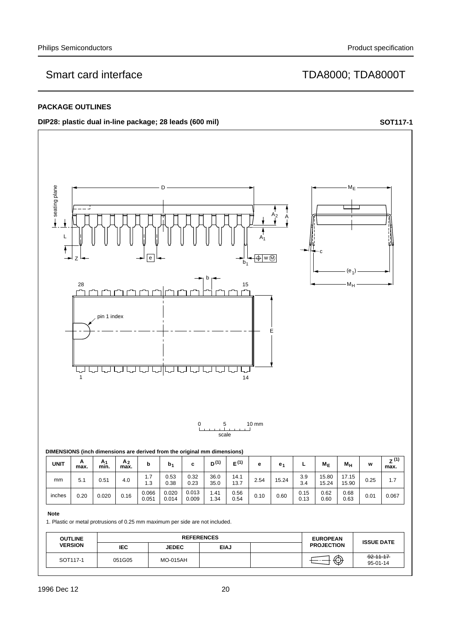### **PACKAGE OUTLINES**

**DIP28: plastic dual in-line package; 28 leads (600 mil) handbook**, **full pagewidth <b>SOT117-1** 



### **Note**

1. Plastic or metal protrusions of 0.25 mm maximum per side are not included.

| <b>OUTLINE</b><br><b>VERSION</b> | <b>REFERENCES</b> |                 |             |  | <b>EUROPEAN</b>   | <b>ISSUE DATE</b>           |
|----------------------------------|-------------------|-----------------|-------------|--|-------------------|-----------------------------|
|                                  | <b>IEC</b>        | <b>JEDEC</b>    | <b>EIAJ</b> |  | <b>PROJECTION</b> |                             |
| SOT117-1                         | 051G05            | <b>MO-015AH</b> |             |  | क़<br>ت           | $-92 - 11 - 17$<br>95-01-14 |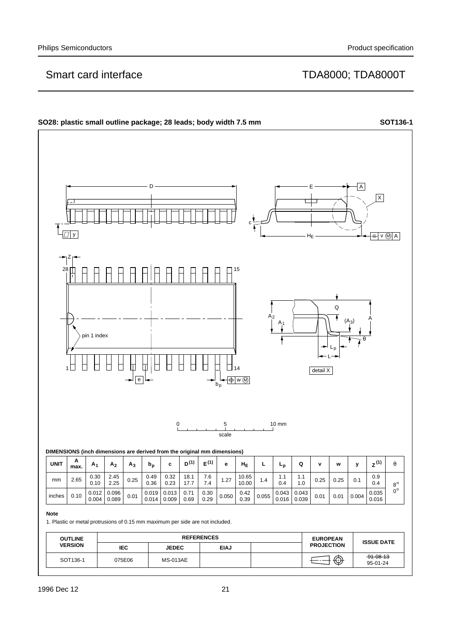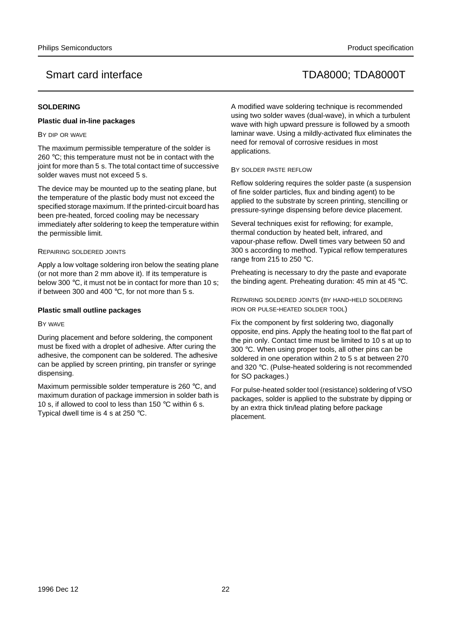## **SOLDERING**

## **Plastic dual in-line packages**

### BY DIP OR WAVE

The maximum permissible temperature of the solder is 260 °C; this temperature must not be in contact with the joint for more than 5 s. The total contact time of successive solder waves must not exceed 5 s.

The device may be mounted up to the seating plane, but the temperature of the plastic body must not exceed the specified storage maximum. If the printed-circuit board has been pre-heated, forced cooling may be necessary immediately after soldering to keep the temperature within the permissible limit.

### REPAIRING SOLDERED JOINTS

Apply a low voltage soldering iron below the seating plane (or not more than 2 mm above it). If its temperature is below 300 °C, it must not be in contact for more than 10 s: if between 300 and 400  $^{\circ}$ C, for not more than 5 s.

## **Plastic small outline packages**

### BY WAVE

During placement and before soldering, the component must be fixed with a droplet of adhesive. After curing the adhesive, the component can be soldered. The adhesive can be applied by screen printing, pin transfer or syringe dispensing.

Maximum permissible solder temperature is 260 °C, and maximum duration of package immersion in solder bath is 10 s, if allowed to cool to less than 150 °C within 6 s. Typical dwell time is 4 s at 250 °C.

A modified wave soldering technique is recommended using two solder waves (dual-wave), in which a turbulent wave with high upward pressure is followed by a smooth laminar wave. Using a mildly-activated flux eliminates the need for removal of corrosive residues in most applications.

### BY SOLDER PASTE REFLOW

Reflow soldering requires the solder paste (a suspension of fine solder particles, flux and binding agent) to be applied to the substrate by screen printing, stencilling or pressure-syringe dispensing before device placement.

Several techniques exist for reflowing; for example, thermal conduction by heated belt, infrared, and vapour-phase reflow. Dwell times vary between 50 and 300 s according to method. Typical reflow temperatures range from 215 to 250 °C.

Preheating is necessary to dry the paste and evaporate the binding agent. Preheating duration: 45 min at 45 °C.

REPAIRING SOLDERED JOINTS (BY HAND-HELD SOLDERING IRON OR PULSE-HEATED SOLDER TOOL)

Fix the component by first soldering two, diagonally opposite, end pins. Apply the heating tool to the flat part of the pin only. Contact time must be limited to 10 s at up to 300 °C. When using proper tools, all other pins can be soldered in one operation within 2 to 5 s at between 270 and 320 °C. (Pulse-heated soldering is not recommended for SO packages.)

For pulse-heated solder tool (resistance) soldering of VSO packages, solder is applied to the substrate by dipping or by an extra thick tin/lead plating before package placement.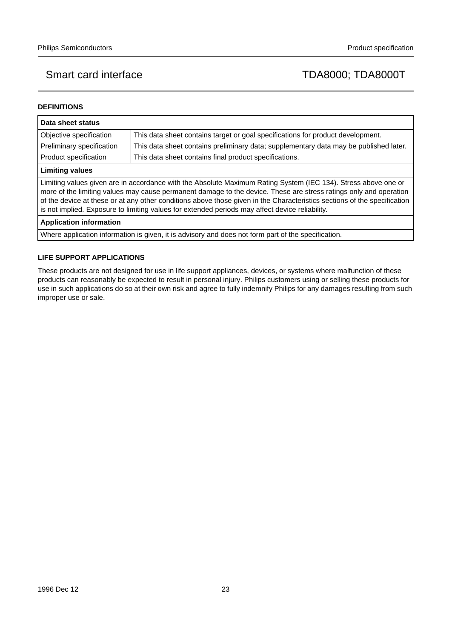## **DEFINITIONS**

| Data sheet status                                                                                                                                                                                                                                                                                                                                                                                                                                                  |                                                                                       |  |  |  |  |
|--------------------------------------------------------------------------------------------------------------------------------------------------------------------------------------------------------------------------------------------------------------------------------------------------------------------------------------------------------------------------------------------------------------------------------------------------------------------|---------------------------------------------------------------------------------------|--|--|--|--|
| Objective specification                                                                                                                                                                                                                                                                                                                                                                                                                                            | This data sheet contains target or goal specifications for product development.       |  |  |  |  |
| Preliminary specification                                                                                                                                                                                                                                                                                                                                                                                                                                          | This data sheet contains preliminary data; supplementary data may be published later. |  |  |  |  |
| Product specification                                                                                                                                                                                                                                                                                                                                                                                                                                              | This data sheet contains final product specifications.                                |  |  |  |  |
| <b>Limiting values</b>                                                                                                                                                                                                                                                                                                                                                                                                                                             |                                                                                       |  |  |  |  |
| Limiting values given are in accordance with the Absolute Maximum Rating System (IEC 134). Stress above one or<br>more of the limiting values may cause permanent damage to the device. These are stress ratings only and operation<br>of the device at these or at any other conditions above those given in the Characteristics sections of the specification<br>is not implied. Exposure to limiting values for extended periods may affect device reliability. |                                                                                       |  |  |  |  |
| <b>Application information</b>                                                                                                                                                                                                                                                                                                                                                                                                                                     |                                                                                       |  |  |  |  |

Where application information is given, it is advisory and does not form part of the specification.

## **LIFE SUPPORT APPLICATIONS**

These products are not designed for use in life support appliances, devices, or systems where malfunction of these products can reasonably be expected to result in personal injury. Philips customers using or selling these products for use in such applications do so at their own risk and agree to fully indemnify Philips for any damages resulting from such improper use or sale.